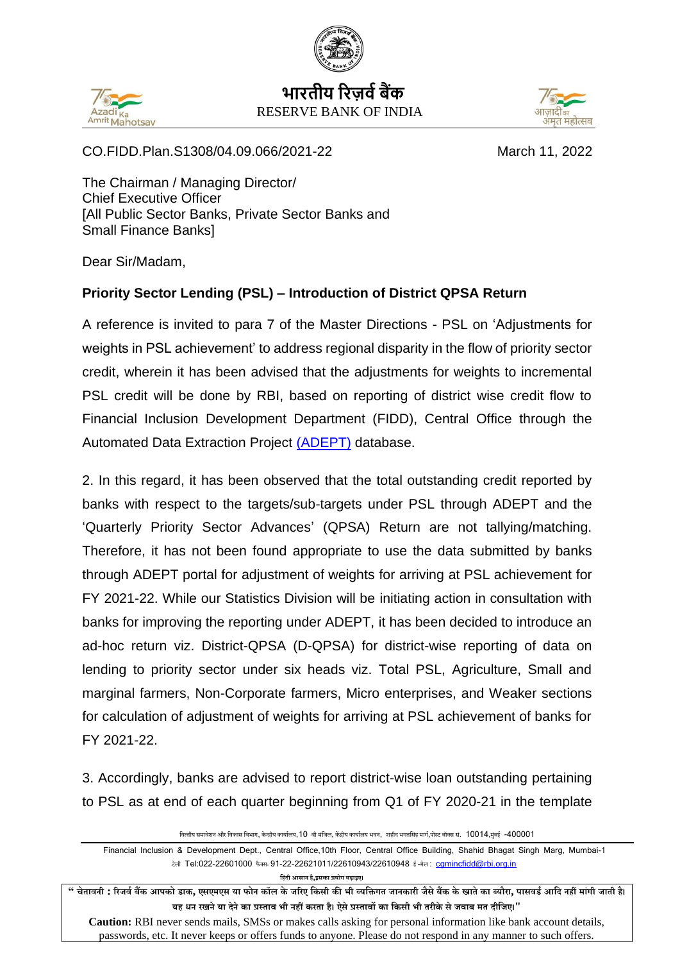



**भारतीय ररज़र्वबैंक** RESERVE BANK OF INDIA



CO.FIDD.Plan.S1308/04.09.066/2021-22 March 11, 2022

The Chairman / Managing Director/ Chief Executive Officer [All Public Sector Banks, Private Sector Banks and Small Finance Banks]

Dear Sir/Madam,

## **Priority Sector Lending (PSL) – Introduction of District QPSA Return**

A reference is invited to para 7 of the Master Directions - PSL on 'Adjustments for weights in PSL achievement' to address regional disparity in the flow of priority sector credit, wherein it has been advised that the adjustments for weights to incremental PSL credit will be done by RBI, based on reporting of district wise credit flow to Financial Inclusion Development Department (FIDD), Central Office through the Automated Data Extraction Project [\(ADEPT\)](https://adept.rbi.org.in/CBSL/) database.

2. In this regard, it has been observed that the total outstanding credit reported by banks with respect to the targets/sub-targets under PSL through ADEPT and the 'Quarterly Priority Sector Advances' (QPSA) Return are not tallying/matching. Therefore, it has not been found appropriate to use the data submitted by banks through ADEPT portal for adjustment of weights for arriving at PSL achievement for FY 2021-22. While our Statistics Division will be initiating action in consultation with banks for improving the reporting under ADEPT, it has been decided to introduce an ad-hoc return viz. District-QPSA (D-QPSA) for district-wise reporting of data on lending to priority sector under six heads viz. Total PSL, Agriculture, Small and marginal farmers, Non-Corporate farmers, Micro enterprises, and Weaker sections for calculation of adjustment of weights for arriving at PSL achievement of banks for FY 2021-22.

3. Accordingly, banks are advised to report district-wise loan outstanding pertaining to PSL as at end of each quarter beginning from Q1 of FY 2020-21 in the template

वित्तीय समावेशन और विकास विभाग, केन्द्रीय कार्यालय, 10 वी मंजिल, केंद्रीय कार्यालय भवन, शहीद भगतसिंह मार्ग,पोस्ट बॉक्स सं. 10014,मंबई -400001

Financial Inclusion & Development Dept., Central Office,10th Floor, Central Office Building, Shahid Bhagat Singh Marg, Mumbai-1 टेली Tel:022-22601000 फैक्सः 91-22-22621011/22610943/22610948 ई-मेल: [cgmincfidd@rbi.org.in](mailto:cgmincfidd@rbi.org.in)

**हहिंदी आसान है,इसका प्रयोग बढ़ाइए।**

" चेतावनी : रिजर्व बैंक आपको डाक, एसएमएस या फोन कॉल के जरिए किसी की भी व्यक्तिगत जानकारी जैसे बैंक के खाते का ब्यौरा, पासवर्ड आदि नहीं मांगी जाती है। **यह धन िखनेया देनेका प्रस् ताव भी नहीं किता है। ऐसेप्रस् तावों का हकसी भी तिीकेसेजवाब मत दीहजए।"**

**Caution:** RBI never sends mails, SMSs or makes calls asking for personal information like bank account details, passwords, etc. It never keeps or offers funds to anyone. Please do not respond in any manner to such offers.